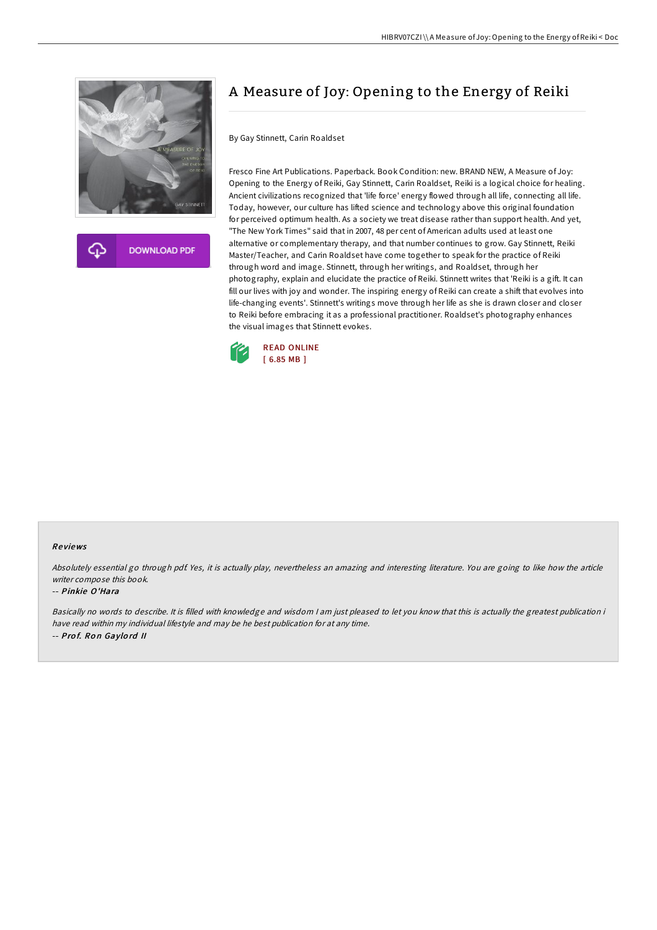

**DOWNLOAD PDF** 

# A Measure of Joy: Opening to the Energy of Reiki

By Gay Stinnett, Carin Roaldset

Fresco Fine Art Publications. Paperback. Book Condition: new. BRAND NEW, A Measure of Joy: Opening to the Energy of Reiki, Gay Stinnett, Carin Roaldset, Reiki is a logical choice for healing. Ancient civilizations recognized that 'life force' energy flowed through all life, connecting all life. Today, however, our culture has lifted science and technology above this original foundation for perceived optimum health. As a society we treat disease rather than support health. And yet, "The New York Times" said that in 2007, 48 per cent of American adults used at least one alternative or complementary therapy, and that number continues to grow. Gay Stinnett, Reiki Master/Teacher, and Carin Roaldset have come together to speak for the practice of Reiki through word and image. Stinnett, through her writings, and Roaldset, through her photography, explain and elucidate the practice of Reiki. Stinnett writes that 'Reiki is a gift. It can fill our lives with joy and wonder. The inspiring energy of Reiki can create a shift that evolves into life-changing events'. Stinnett's writings move through her life as she is drawn closer and closer to Reiki before embracing it as a professional practitioner. Roaldset's photography enhances the visual images that Stinnett evokes.



#### Re views

Absolutely essential go through pdf. Yes, it is actually play, nevertheless an amazing and interesting literature. You are going to like how the article writer compose this book.

#### -- Pinkie O'Hara

Basically no words to describe. It is filled with knowledge and wisdom <sup>I</sup> am just pleased to let you know that this is actually the greatest publication i have read within my individual lifestyle and may be he best publication for at any time. -- Prof. Ron Gaylord II